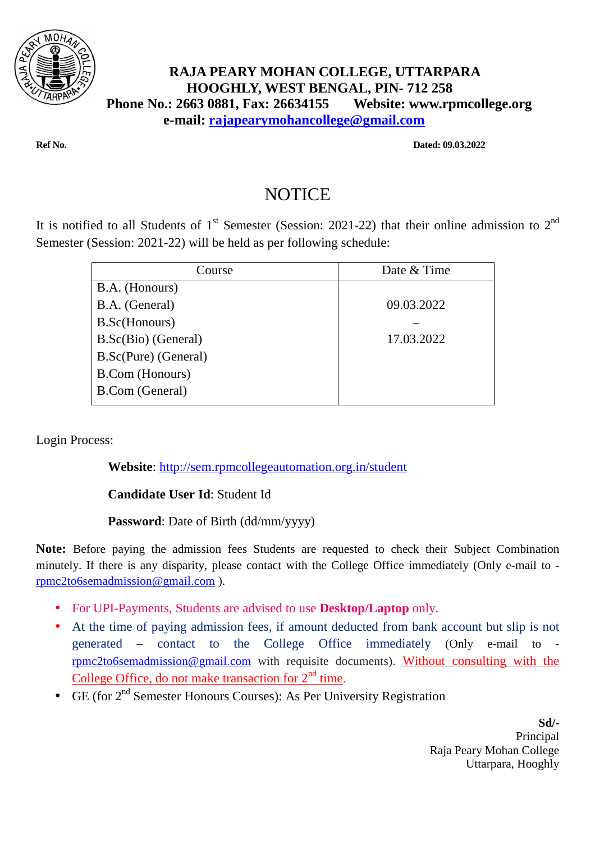

## **RAJA PEARY MOHAN COLLEGE, UTTARPARA HOOGHLY, WEST BENGAL, PIN- 712 258 Phone No.: 2663 0881, Fax: 26634155 Website: www.rpmcollege.org e-mail: rajapearymohancollege@gmail.com**

**Ref No. Dated: 09.03.2022** 

## NOTICE

It is notified to all Students of 1<sup>st</sup> Semester (Session: 2021-22) that their online admission to 2<sup>nd</sup> Semester (Session: 2021-22) will be held as per following schedule:

| Course                 | Date & Time |
|------------------------|-------------|
| B.A. (Honours)         |             |
| B.A. (General)         | 09.03.2022  |
| B.Sc(Honours)          |             |
| B.Sc(Bio) (General)    | 17.03.2022  |
| B.Sc(Pure) (General)   |             |
| <b>B.Com</b> (Honours) |             |
| <b>B.Com</b> (General) |             |
|                        |             |

Login Process:

**Website**: http://sem.rpmcollegeautomation.org.in/student

## **Candidate User Id**: Student Id

## **Password**: Date of Birth (dd/mm/yyyy)

**Note:** Before paying the admission fees Students are requested to check their Subject Combination minutely. If there is any disparity, please contact with the College Office immediately (Only e-mail to rpmc2to6semadmission@gmail.com ).

- For UPI-Payments, Students are advised to use **Desktop/Laptop** only.
- At the time of paying admission fees, if amount deducted from bank account but slip is not generated – contact to the College Office immediately (Only e-mail to rpmc2to6semadmission@gmail.com with requisite documents). Without consulting with the College Office, do not make transaction for  $2<sup>nd</sup>$  time.
- GE (for  $2<sup>nd</sup>$  Semester Honours Courses): As Per University Registration

**Sd/-**  Principal Raja Peary Mohan College Uttarpara, Hooghly